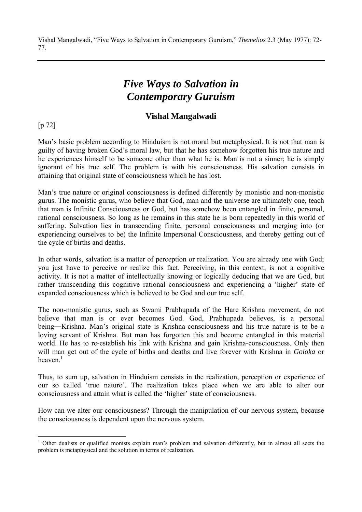# *Five Ways to Salvation in Contemporary Guruism*

## **Vishal Mangalwadi**

[p.72]

 $\overline{a}$ 

Man's basic problem according to Hinduism is not moral but metaphysical. It is not that man is guilty of having broken God's moral law, but that he has somehow forgotten his true nature and he experiences himself to be someone other than what he is. Man is not a sinner; he is simply ignorant of his true self. The problem is with his consciousness. His salvation consists in attaining that original state of consciousness which he has lost.

Man's true nature or original consciousness is defined differently by monistic and non-monistic gurus. The monistic gurus, who believe that God, man and the universe are ultimately one, teach that man is Infinite Consciousness or God, but has somehow been entangled in finite, personal, rational consciousness. So long as he remains in this state he is born repeatedly in this world of suffering. Salvation lies in transcending finite, personal consciousness and merging into (or experiencing ourselves to be) the Infinite Impersonal Consciousness, and thereby getting out of the cycle of births and deaths.

In other words, salvation is a matter of perception or realization. You are already one with God; you just have to perceive or realize this fact. Perceiving, in this context, is not a cognitive activity. It is not a matter of intellectually knowing or logically deducing that we are God, but rather transcending this cognitive rational consciousness and experiencing a 'higher' state of expanded consciousness which is believed to be God and our true self.

The non-monistic gurus, such as Swami Prabhupada of the Hare Krishna movement, do not believe that man is or ever becomes God. God, Prabhupada believes, is a personal being―Krishna. Man's original state is Krishna-consciousness and his true nature is to be a loving servant of Krishna. But man has forgotten this and become entangled in this material world. He has to re-establish his link with Krishna and gain Krishna-consciousness. Only then will man get out of the cycle of births and deaths and live forever with Krishna in *Goloka* or heaven $1$ 

Thus, to sum up, salvation in Hinduism consists in the realization, perception or experience of our so called 'true nature'. The realization takes place when we are able to alter our consciousness and attain what is called the 'higher' state of consciousness.

How can we alter our consciousness? Through the manipulation of our nervous system, because the consciousness is dependent upon the nervous system.

<sup>&</sup>lt;sup>1</sup> Other dualists or qualified monists explain man's problem and salvation differently, but in almost all sects the problem is metaphysical and the solution in terms of realization.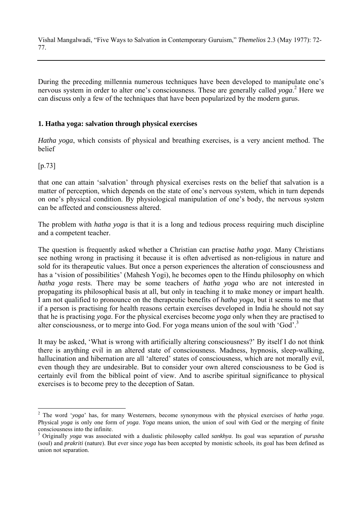During the preceding millennia numerous techniques have been developed to manipulate one's nervous system in order to alter one's consciousness. These are generally called *yoga*.<sup>2</sup> Here we can discuss only a few of the techniques that have been popularized by the modern gurus.

## **1. Hatha yoga: salvation through physical exercises**

*Hatha yoga*, which consists of physical and breathing exercises, is a very ancient method. The belief

## [p.73]

 $\overline{a}$ 

that one can attain 'salvation' through physical exercises rests on the belief that salvation is a matter of perception, which depends on the state of one's nervous system, which in turn depends on one's physical condition. By physiological manipulation of one's body, the nervous system can be affected and consciousness altered.

The problem with *hatha yoga* is that it is a long and tedious process requiring much discipline and a competent teacher.

The question is frequently asked whether a Christian can practise *hatha yoga*. Many Christians see nothing wrong in practising it because it is often advertised as non-religious in nature and sold for its therapeutic values. But once a person experiences the alteration of consciousness and has a 'vision of possibilities' (Mahesh Yogi), he becomes open to the Hindu philosophy on which *hatha yoga* rests. There may be some teachers of *hatha yoga* who are not interested in propagating its philosophical basis at all, but only in teaching it to make money or impart health. I am not qualified to pronounce on the therapeutic benefits of *hatha yoga*, but it seems to me that if a person is practising for health reasons certain exercises developed in India he should not say that he is practising *yoga*. For the physical exercises become *yoga* only when they are practised to alter consciousness, or to merge into God. For yoga means union of the soul with 'God'.<sup>3</sup>

It may be asked, 'What is wrong with artificially altering consciousness?' By itself I do not think there is anything evil in an altered state of consciousness. Madness, hypnosis, sleep-walking, hallucination and hibernation are all 'altered' states of consciousness, which are not morally evil, even though they are undesirable. But to consider your own altered consciousness to be God is certainly evil from the biblical point of view. And to ascribe spiritual significance to physical exercises is to become prey to the deception of Satan.

<sup>2</sup> The word '*yoga*' has, for many Westerners, become synonymous with the physical exercises of *hatha yoga*. Physical *yoga* is only one form of *yoga*. *Yoga* means union, the union of soul with God or the merging of finite consciousness into the infinite.

<sup>3</sup> Originally *yoga* was associated with a dualistic philosophy called *sankhya*. Its goal was separation of *purusha* (soul) and *prakriti* (nature). But ever since *yoga* has been accepted by monistic schools, its goal has been defined as union not separation.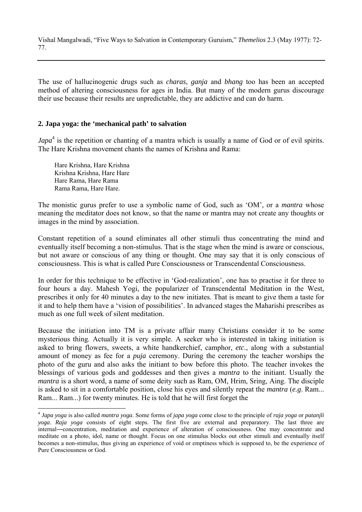The use of hallucinogenic drugs such as *charas*, *ganja* and *bhang* too has been an accepted method of altering consciousness for ages in India. But many of the modern gurus discourage their use because their results are unpredictable, they are addictive and can do harm.

#### **2. Japa yoga: the 'mechanical path' to salvation**

*Japa*<sup>4</sup> is the repetition or chanting of a mantra which is usually a name of God or of evil spirits. The Hare Krishna movement chants the names of Krishna and Rama:

Hare Krishna, Hare Krishna Krishna Krishna, Hare Hare Hare Rama, Hare Rama Rama Rama, Hare Hare.

 $\overline{a}$ 

The monistic gurus prefer to use a symbolic name of God, such as 'OM', or a *mantra* whose meaning the meditator does not know, so that the name or mantra may not create any thoughts or images in the mind by association.

Constant repetition of a sound eliminates all other stimuli thus concentrating the mind and eventually itself becoming a non-stimulus. That is the stage when the mind is aware or conscious, but not aware or conscious of any thing or thought. One may say that it is only conscious of consciousness. This is what is called Pure Consciousness or Transcendental Consciousness.

In order for this technique to be effective in 'God-realization', one has to practise it for three to four hours a day. Mahesh Yogi, the popularizer of Transcendental Meditation in the West, prescribes it only for 40 minutes a day to the new initiates. That is meant to give them a taste for it and to help them have a 'vision of possibilities'. In advanced stages the Maharishi prescribes as much as one full week of silent meditation.

Because the initiation into TM is a private affair many Christians consider it to be some mysterious thing. Actually it is very simple. A seeker who is interested in taking initiation is asked to bring flowers, sweets, a white handkerchief, camphor, *etc*., along with a substantial amount of money as fee for a *puja* ceremony. During the ceremony the teacher worships the photo of the guru and also asks the initiant to bow before this photo. The teacher invokes the blessings of various gods and goddesses and then gives a *mantra* to the initiant. Usually the *mantra* is a short word, a name of some deity such as Ram, OM, Hrim, Sring, Aing. The disciple is asked to sit in a comfortable position, close his eyes and silently repeat the *mantra* (*e.g*. Ram... Ram... Ram...) for twenty minutes. He is told that he will first forget the

<sup>4</sup> *Japa yoga* is also called *mantra yoga*. Some forms of *japa yoga* come close to the principle of *raja yoga* or *patanjli yoga*. *Raja yoga* consists of eight steps. The first five are external and preparatory. The last three are internal―concentration, meditation and experience of alteration of consciousness. One may concentrate and meditate on a photo, idol, name or thought. Focus on one stimulus blocks out other stimuli and eventually itself becomes a non-stimulus, thus giving an experience of void or emptiness which is supposed to, be the experience of Pure Consciousness or God.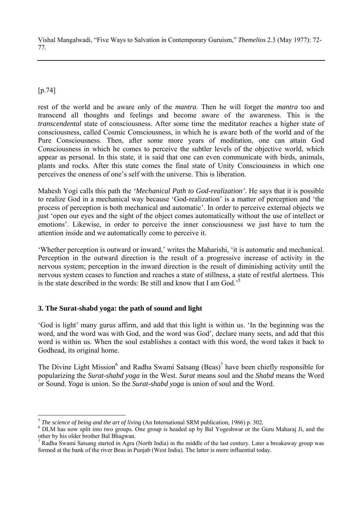# [p.74]

 $\overline{a}$ 

rest of the world and be aware only of the *mantra*. Then he will forget the *mantra* too and transcend all thoughts and feelings and become aware of the awareness. This is the *transcendental* state of consciousness. After some time the meditator reaches a higher state of consciousness, called Cosmic Consciousness, in which he is aware both of the world and of the Pure Consciousness. Then, after some more years of meditation, one can attain God Consciousness in which he comes to perceive the subtler levels of the objective world, which appear as personal. In this state, it is said that one can even communicate with birds, animals, plants and rocks. After this state comes the final state of Unity Consciousness in which one perceives the oneness of one's self with the universe. This is liberation.

Mahesh Yogi calls this path the *'Mechanical Path to God-realization'*. He says that it is possible to realize God in a mechanical way because 'God-realization' is a matter of perception and 'the process of perception is both mechanical and automatic'. In order to perceive external objects we just 'open our eyes and the sight of the object comes automatically without the use of intellect or emotions'. Likewise, in order to perceive the inner consciousness we just have to turn the attention inside and we automatically come to perceive it.

'Whether perception is outward or inward,' writes the Maharishi, 'it is automatic and mechanical. Perception in the outward direction is the result of a progressive increase of activity in the nervous system; perception in the inward direction is the result of diminishing activity until the nervous system ceases to function and reaches a state of stillness, a state of restful alertness. This is the state described in the words: Be still and know that I am God.<sup>55</sup>

## **3. The Surat-shabd yoga: the path of sound and light**

'God is light' many gurus affirm, and add that this light is within us. 'In the beginning was the word, and the word was with God, and the word was God', declare many sects, and add that this word is within us. When the soul establishes a contact with this word, the word takes it back to Godhead, its original home.

The Divine Light Mission<sup>6</sup> and Radha Swami Satsang (Beas)<sup>7</sup> have been chiefly responsible for popularizing the *Surat-shabd yoga* in the West. *Surat* means soul and the *Shabd* means the Word or Sound. *Yoga* is union. So the *Surat-shabd yoga* is union of soul and the Word.

<sup>&</sup>lt;sup>5</sup> *The science of being and the art of living* (An International SRM publication, 1966) p. 302.

<sup>&</sup>lt;sup>6</sup> DLM has now split into two groups. One group is headed up by Bal Yogeshwar or the Guru Maharaj Ji, and the other by his older brother Bal Bhagwan.

<sup>&</sup>lt;sup>7</sup> Radha Swami Satsang started in Agra (North India) in the middle of the last century. Later a breakaway group was formed at the bank of the river Beas in Punjab (West India). The latter is more influential today.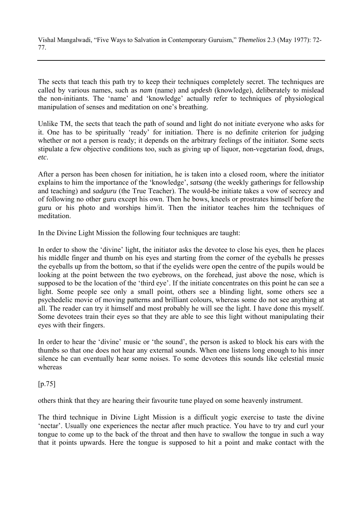The sects that teach this path try to keep their techniques completely secret. The techniques are called by various names, such as *nam* (name) and *updesh* (knowledge), deliberately to mislead the non-initiants. The 'name' and 'knowledge' actually refer to techniques of physiological manipulation of senses and meditation on one's breathing.

Unlike TM, the sects that teach the path of sound and light do not initiate everyone who asks for it. One has to be spiritually 'ready' for initiation. There is no definite criterion for judging whether or not a person is ready; it depends on the arbitrary feelings of the initiator. Some sects stipulate a few objective conditions too, such as giving up of liquor, non-vegetarian food, drugs, *etc*.

After a person has been chosen for initiation, he is taken into a closed room, where the initiator explains to him the importance of the 'knowledge', *satsang* (the weekly gatherings for fellowship and teaching) and *sadguru* (the True Teacher). The would-be initiate takes a vow of secrecy and of following no other guru except his own. Then he bows, kneels or prostrates himself before the guru or his photo and worships him/it. Then the initiator teaches him the techniques of meditation.

In the Divine Light Mission the following four techniques are taught:

In order to show the 'divine' light, the initiator asks the devotee to close his eyes, then he places his middle finger and thumb on his eyes and starting from the corner of the eyeballs he presses the eyeballs up from the bottom, so that if the eyelids were open the centre of the pupils would be looking at the point between the two eyebrows, on the forehead, just above the nose, which is supposed to be the location of the 'third eye'. If the initiate concentrates on this point he can see a light. Some people see only a small point, others see a blinding light, some others see a psychedelic movie of moving patterns and brilliant colours, whereas some do not see anything at all. The reader can try it himself and most probably he will see the light. I have done this myself. Some devotees train their eyes so that they are able to see this light without manipulating their eyes with their fingers.

In order to hear the 'divine' music or 'the sound', the person is asked to block his ears with the thumbs so that one does not hear any external sounds. When one listens long enough to his inner silence he can eventually hear some noises. To some devotees this sounds like celestial music whereas

[p.75]

others think that they are hearing their favourite tune played on some heavenly instrument.

The third technique in Divine Light Mission is a difficult yogic exercise to taste the divine 'nectar'. Usually one experiences the nectar after much practice. You have to try and curl your tongue to come up to the back of the throat and then have to swallow the tongue in such a way that it points upwards. Here the tongue is supposed to hit a point and make contact with the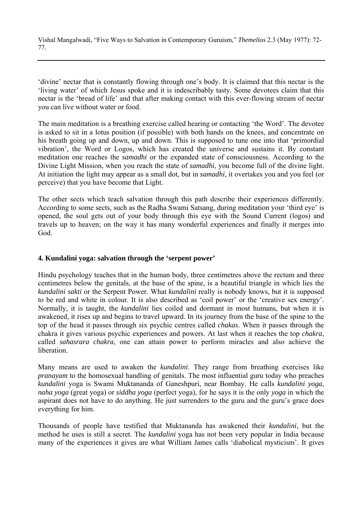'divine' nectar that is constantly flowing through one's body. It is claimed that this nectar is the 'living water' of which Jesus spoke and it is indescribably tasty. Some devotees claim that this nectar is the 'bread of life' and that after making contact with this ever-flowing stream of nectar you can live without water or food.

The main meditation is a breathing exercise called hearing or contacting 'the Word'. The devotee is asked to sit in a lotus position (if possible) with both hands on the knees, and concentrate on his breath going up and down, up and down. This is supposed to tune one into that 'primordial vibration', the Word or Logos, which has created the universe and sustains it. By constant meditation one reaches the *samadhi* or the expanded state of consciousness. According to the Divine Light Mission, when you reach the state of *samadhi*, you become full of the divine light. At initiation the light may appear as a small dot, but in *samadhi*, it overtakes you and you feel (or perceive) that you have become that Light.

The other sects which teach salvation through this path describe their experiences differently. According to some sects, such as the Radha Swami Satsang, during meditation your 'third eye' is opened, the soul gets out of your body through this eye with the Sound Current (logos) and travels up to heaven; on the way it has many wonderful experiences and finally it merges into God.

## **4. Kundalini yoga: salvation through the 'serpent power'**

Hindu psychology teaches that in the human body, three centimetres above the rectum and three centimetres below the genitals, at the base of the spine, is a beautiful triangle in which lies the *kundalini sakti* or the Serpent Power. What *kundalini* really is nobody knows, but it is supposed to be red and white in colour. It is also described as 'coil power' or the 'creative sex energy'. Normally, it is taught, the *kundalini* lies coiled and dormant in most humans, but when it is awakened, it rises up and begins to travel upward. In its journey from the base of the spine to the top of the head it passes through six psychic centres called *chakas*. When it passes through the chakra it gives various psychic experiences and powers. At last when it reaches the top *chakra*, called *sahasrara chakra*, one can attain power to perform miracles and also achieve the **liberation** 

Many means are used to awaken the *kundalini*. They range from breathing exercises like *pranayam* to the homosexual handling of genitals. The most influential guru today who preaches *kundalini* yoga is Swami Muktananda of Ganeshpuri, near Bombay. He calls *kundalini yoga*, *naha yoga* (great yoga) or *siddha yoga* (perfect yoga), for he says it is the only *yoga* in which the aspirant does not have to do anything. He just surrenders to the guru and the guru's grace does everything for him.

Thousands of people have testified that Muktananda has awakened their *kundalini*, but the method he uses is still a secret. The *kundalini* yoga has not been very popular in India because many of the experiences it gives are what William James calls 'diabolical mysticism'. It gives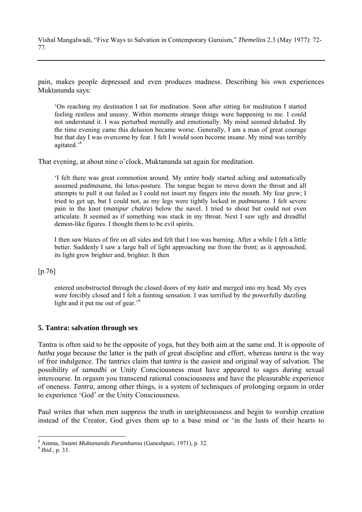pain, makes people depressed and even produces madness. Describing his own experiences Muktananda says:

'On reaching my destination I sat for meditation. Soon after sitting for meditation I started feeling restless and uneasy. Within moments strange things were happening to me. I could not understand it. I was perturbed mentally and emotionally. My mind seemed deluded. By the time evening came this delusion became worse. Generally, I am a man of great courage but that day I was overcome by fear. I felt I would soon become insane. My mind was terribly agitated.'8

That evening, at about nine o'clock, Muktananda sat again for meditation.

'I felt there was great commotion around. My entire body started aching and automatically assumed *padmasana*, the lotus-posture. The tongue began to move down the throat and all attempts to pull it out failed as I could not insert my fingers into the mouth. My fear grew; I tried to get up, but I could not, as my legs were tightly locked in *padmasana*. I felt severe pain in the knot (*manipur chakra*) below the navel. I tried to shout but could not even articulate. It seemed as if something was stuck in my throat. Next I saw ugly and dreadful demon-like figures. I thought them to be evil spirits.

I then saw blazes of fire on all sides and felt that I too was burning. After a while I felt a little better. Suddenly I saw a large ball of light approaching me from the front; as it approached, its light grew brighter and, brighter. It then

#### [p.76]

entered unobstructed through the closed doors of my *kutir* and merged into my head. My eyes were forcibly closed and I felt a fainting sensation. I was terrified by the powerfully dazzling light and it put me out of gear.<sup>9</sup>

#### **5. Tantra: salvation through sex**

Tantra is often said to be the opposite of yoga, but they both aim at the same end. It is opposite of *hatha yoga* because the latter is the path of great discipline and effort, whereas *tantra* is the way of free indulgence. The tantrics claim that *tantra* is the easiest and original way of salvation. The possibility of *samadhi* or Unity Consciousness must have appeared to sages during sexual intercourse. In orgasm you transcend rational consciousness and have the pleasurable experience of oneness. *Tantra*, among other things, is a system of techniques of prolonging orgasm in order to experience 'God' or the Unity Consciousness.

Paul writes that when men suppress the truth in unrighteousness and begin to worship creation instead of the Creator, God gives them up to a base mind or 'in the lusts of their hearts to

 $\overline{a}$ 

<sup>&</sup>lt;sup>8</sup> Amma, *Swami Muktananda Paramhansa* (Ganeshpuri, 1971), p. 32.<br><sup>9</sup> *Ibid.*, p. 33.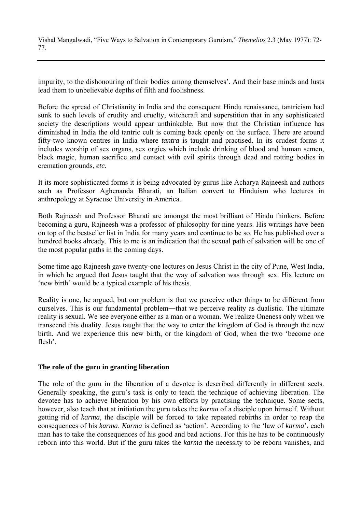impurity, to the dishonouring of their bodies among themselves'. And their base minds and lusts lead them to unbelievable depths of filth and foolishness.

Before the spread of Christianity in India and the consequent Hindu renaissance, tantricism had sunk to such levels of crudity and cruelty, witchcraft and superstition that in any sophisticated society the descriptions would appear unthinkable. But now that the Christian influence has diminished in India the old tantric cult is coming back openly on the surface. There are around fifty-two known centres in India where *tantra* is taught and practised. In its crudest forms it includes worship of sex organs, sex orgies which include drinking of blood and human semen, black magic, human sacrifice and contact with evil spirits through dead and rotting bodies in cremation grounds, *etc*.

It its more sophisticated forms it is being advocated by gurus like Acharya Rajneesh and authors such as Professor Aghenanda Bharati, an Italian convert to Hinduism who lectures in anthropology at Syracuse University in America.

Both Rajneesh and Professor Bharati are amongst the most brilliant of Hindu thinkers. Before becoming a guru, Rajneesh was a professor of philosophy for nine years. His writings have been on top of the bestseller list in India for many years and continue to be so. He has published over a hundred books already. This to me is an indication that the sexual path of salvation will be one of the most popular paths in the coming days.

Some time ago Rajneesh gave twenty-one lectures on Jesus Christ in the city of Pune, West India, in which he argued that Jesus taught that the way of salvation was through sex. His lecture on 'new birth' would be a typical example of his thesis.

Reality is one, he argued, but our problem is that we perceive other things to be different from ourselves. This is our fundamental problem—that we perceive reality as dualistic. The ultimate reality is sexual. We see everyone either as a man or a woman. We realize Oneness only when we transcend this duality. Jesus taught that the way to enter the kingdom of God is through the new birth. And we experience this new birth, or the kingdom of God, when the two 'become one flesh'.

#### **The role of the guru in granting liberation**

The role of the guru in the liberation of a devotee is described differently in different sects. Generally speaking, the guru's task is only to teach the technique of achieving liberation. The devotee has to achieve liberation by his own efforts by practising the technique. Some sects, however, also teach that at initiation the guru takes the *karma* of a disciple upon himself. Without getting rid of *karma*, the disciple will be forced to take repeated rebirths in order to reap the consequences of his *karma*. *Karma* is defined as 'action'. According to the 'law of *karma*', each man has to take the consequences of his good and bad actions. For this he has to be continuously reborn into this world. But if the guru takes the *karma* the necessity to be reborn vanishes, and